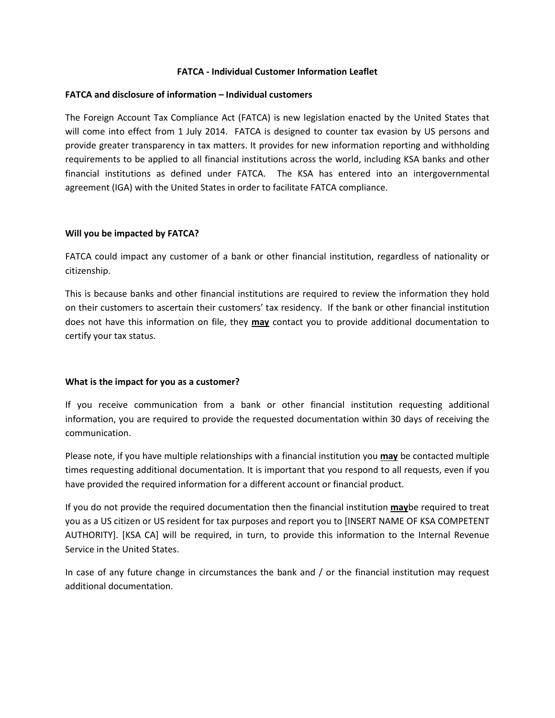### **FATCA - Individual Customer Information Leaflet**

### **FATCA and disclosure of information – Individual customers**

The Foreign Account Tax Compliance Act (FATCA) is new legislation enacted by the United States that will come into effect from 1 July 2014. FATCA is designed to counter tax evasion by US persons and provide greater transparency in tax matters. It provides for new information reporting and withholding requirements to be applied to all financial institutions across the world, including KSA banks and other financial institutions as defined under FATCA. The KSA has entered into an intergovernmental agreement (IGA) with the United States in order to facilitate FATCA compliance.

### **Will you be impacted by FATCA?**

FATCA could impact any customer of a bank or other financial institution, regardless of nationality or citizenship.

This is because banks and other financial institutions are required to review the information they hold on their customers to ascertain their customers' tax residency. If the bank or other financial institution does not have this information on file, they **may** contact you to provide additional documentation to certify your tax status.

# **What is the impact for you as a customer?**

If you receive communication from a bank or other financial institution requesting additional information, you are required to provide the requested documentation within 30 days of receiving the communication.

Please note, if you have multiple relationships with a financial institution you **may** be contacted multiple times requesting additional documentation. It is important that you respond to all requests, even if you have provided the required information for a different account or financial product.

If you do not provide the required documentation then the financial institution **may**be required to treat you as a US citizen or US resident for tax purposes and report you to [INSERT NAME OF KSA COMPETENT AUTHORITY]. [KSA CA] will be required, in turn, to provide this information to the Internal Revenue Service in the United States.

In case of any future change in circumstances the bank and / or the financial institution may request additional documentation.